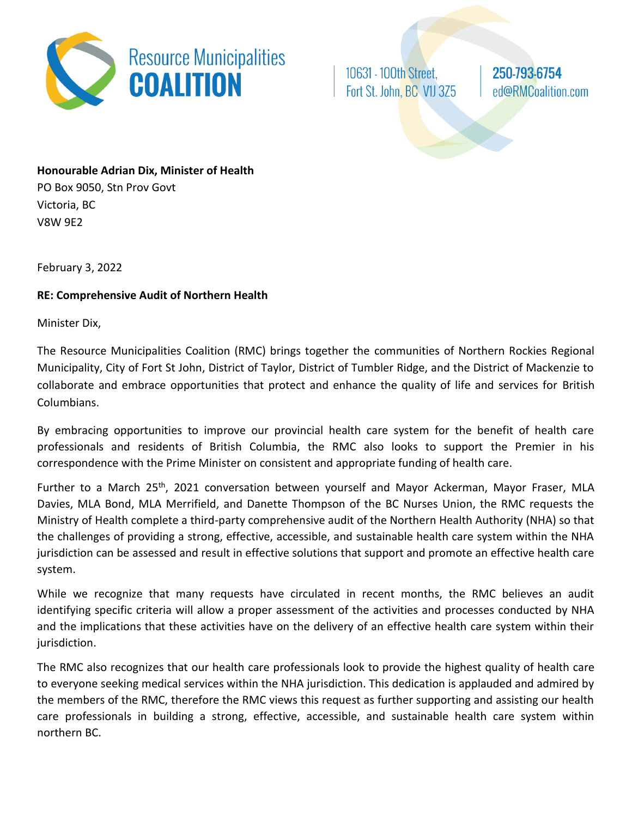

10631 - 100th Street, Fort St. John, BC V1J 3Z5 250-793-6754 ed@RMCoalition.com

## **Honourable Adrian Dix, Minister of Health** PO Box 9050, Stn Prov Govt

Victoria, BC V8W 9E2

February 3, 2022

## **RE: Comprehensive Audit of Northern Health**

Minister Dix,

The Resource Municipalities Coalition (RMC) brings together the communities of Northern Rockies Regional Municipality, City of Fort St John, District of Taylor, District of Tumbler Ridge, and the District of Mackenzie to collaborate and embrace opportunities that protect and enhance the quality of life and services for British Columbians.

By embracing opportunities to improve our provincial health care system for the benefit of health care professionals and residents of British Columbia, the RMC also looks to support the Premier in his correspondence with the Prime Minister on consistent and appropriate funding of health care.

Further to a March 25<sup>th</sup>, 2021 conversation between yourself and Mayor Ackerman, Mayor Fraser, MLA Davies, MLA Bond, MLA Merrifield, and Danette Thompson of the BC Nurses Union, the RMC requests the Ministry of Health complete a third-party comprehensive audit of the Northern Health Authority (NHA) so that the challenges of providing a strong, effective, accessible, and sustainable health care system within the NHA jurisdiction can be assessed and result in effective solutions that support and promote an effective health care system.

While we recognize that many requests have circulated in recent months, the RMC believes an audit identifying specific criteria will allow a proper assessment of the activities and processes conducted by NHA and the implications that these activities have on the delivery of an effective health care system within their jurisdiction.

The RMC also recognizes that our health care professionals look to provide the highest quality of health care to everyone seeking medical services within the NHA jurisdiction. This dedication is applauded and admired by the members of the RMC, therefore the RMC views this request as further supporting and assisting our health care professionals in building a strong, effective, accessible, and sustainable health care system within northern BC.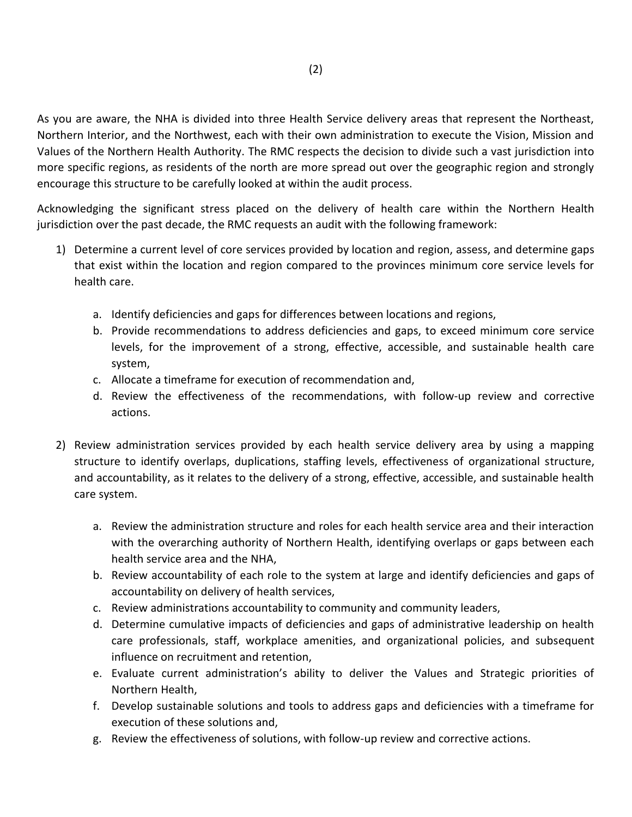As you are aware, the NHA is divided into three Health Service delivery areas that represent the Northeast, Northern Interior, and the Northwest, each with their own administration to execute the Vision, Mission and Values of the Northern Health Authority. The RMC respects the decision to divide such a vast jurisdiction into more specific regions, as residents of the north are more spread out over the geographic region and strongly encourage this structure to be carefully looked at within the audit process.

Acknowledging the significant stress placed on the delivery of health care within the Northern Health jurisdiction over the past decade, the RMC requests an audit with the following framework:

- 1) Determine a current level of core services provided by location and region, assess, and determine gaps that exist within the location and region compared to the provinces minimum core service levels for health care.
	- a. Identify deficiencies and gaps for differences between locations and regions,
	- b. Provide recommendations to address deficiencies and gaps, to exceed minimum core service levels, for the improvement of a strong, effective, accessible, and sustainable health care system,
	- c. Allocate a timeframe for execution of recommendation and,
	- d. Review the effectiveness of the recommendations, with follow-up review and corrective actions.
- 2) Review administration services provided by each health service delivery area by using a mapping structure to identify overlaps, duplications, staffing levels, effectiveness of organizational structure, and accountability, as it relates to the delivery of a strong, effective, accessible, and sustainable health care system.
	- a. Review the administration structure and roles for each health service area and their interaction with the overarching authority of Northern Health, identifying overlaps or gaps between each health service area and the NHA,
	- b. Review accountability of each role to the system at large and identify deficiencies and gaps of accountability on delivery of health services,
	- c. Review administrations accountability to community and community leaders,
	- d. Determine cumulative impacts of deficiencies and gaps of administrative leadership on health care professionals, staff, workplace amenities, and organizational policies, and subsequent influence on recruitment and retention,
	- e. Evaluate current administration's ability to deliver the Values and Strategic priorities of Northern Health,
	- f. Develop sustainable solutions and tools to address gaps and deficiencies with a timeframe for execution of these solutions and,
	- g. Review the effectiveness of solutions, with follow-up review and corrective actions.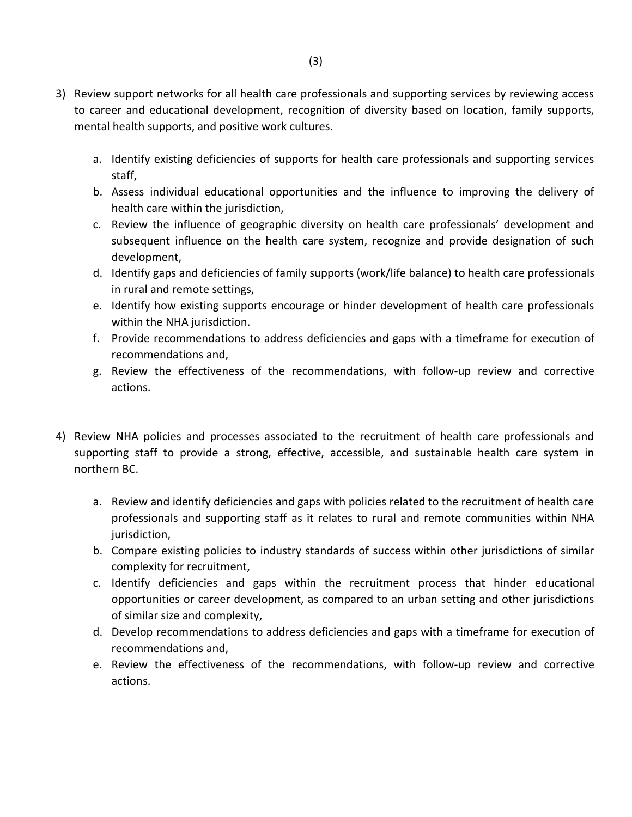- 3) Review support networks for all health care professionals and supporting services by reviewing access to career and educational development, recognition of diversity based on location, family supports, mental health supports, and positive work cultures.
	- a. Identify existing deficiencies of supports for health care professionals and supporting services staff,
	- b. Assess individual educational opportunities and the influence to improving the delivery of health care within the jurisdiction,
	- c. Review the influence of geographic diversity on health care professionals' development and subsequent influence on the health care system, recognize and provide designation of such development,
	- d. Identify gaps and deficiencies of family supports (work/life balance) to health care professionals in rural and remote settings,
	- e. Identify how existing supports encourage or hinder development of health care professionals within the NHA jurisdiction.
	- f. Provide recommendations to address deficiencies and gaps with a timeframe for execution of recommendations and,
	- g. Review the effectiveness of the recommendations, with follow-up review and corrective actions.
- 4) Review NHA policies and processes associated to the recruitment of health care professionals and supporting staff to provide a strong, effective, accessible, and sustainable health care system in northern BC.
	- a. Review and identify deficiencies and gaps with policies related to the recruitment of health care professionals and supporting staff as it relates to rural and remote communities within NHA jurisdiction,
	- b. Compare existing policies to industry standards of success within other jurisdictions of similar complexity for recruitment,
	- c. Identify deficiencies and gaps within the recruitment process that hinder educational opportunities or career development, as compared to an urban setting and other jurisdictions of similar size and complexity,
	- d. Develop recommendations to address deficiencies and gaps with a timeframe for execution of recommendations and,
	- e. Review the effectiveness of the recommendations, with follow-up review and corrective actions.